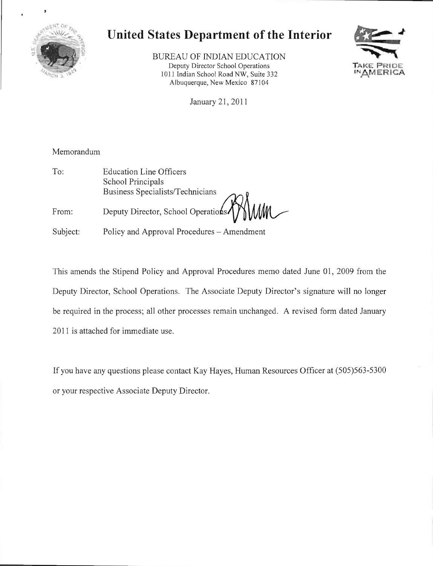

## **United States Department of the Interior**

BUREAU OF INDIAN EDUCATION **Deputy Director School Operations** 1011 Indian School Road NW, Suite 332 Albuquerque, New Mexico 87104



January 21, 2011

## Memorandum

To: Education Line Officers School Principals Business Specialists/Technicians From: Deputy Director, School Operations

Subject: Policy and Approval Procedures – Amendment

This amends the Stipend Policy and Approval Procedures memo dated June 01, 2009 from the Deputy Director, School Operations. The Associate Deputy Director's signature will no longer be required in the process; all other processes remain unchanged. A revised form dated January 2011 is attached for immediate use.

If you have any questions please contact Kay Hayes, Human Resources Officer at (505)563-5300 or your respective Associate Deputy Director.